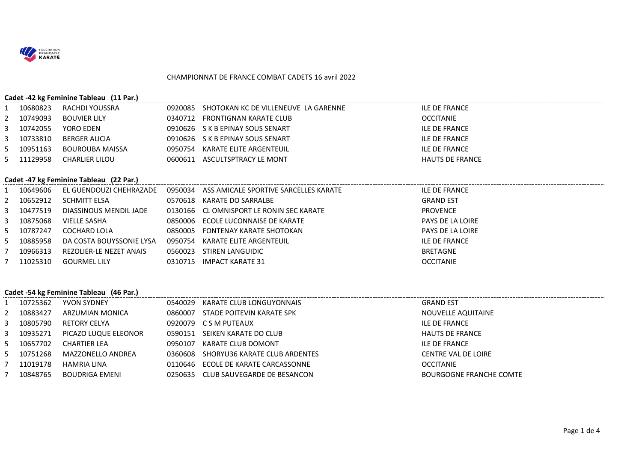

#### CHAMPIONNAT DE FRANCE COMBAT CADETS 16 avril 2022

#### **Cadet -42 kg Feminine Tableau (11 Par.)**

| 10680823   | RACHDI YOUSSRA      | 0920085 | SHOTOKAN KC DE VILLENEUVE LA GARENNE | ILE DE FRANCE          |
|------------|---------------------|---------|--------------------------------------|------------------------|
| 2 10749093 | <b>BOUVIER LILY</b> | 0340712 | FRONTIGNAN KARATE CLUB               | OCCITANIE              |
| 3 10742055 | YORO EDEN           |         | 0910626 S K B EPINAY SOUS SENART     | ILE DE FRANCE          |
| 3 10733810 | BERGER ALICIA       |         | 0910626 S K B EPINAY SOUS SENART     | ILE DE FRANCE          |
| 5 10951163 | BOUROUBA MAISSA     | 0950754 | KARATE ELITE ARGENTEUIL              | ILE DE FRANCE          |
| 5 11129958 | CHARLIER LILOU      |         | 0600611 ASCULTSPTRACY LE MONT        | <b>HAUTS DE FRANCE</b> |

#### **Cadet -47 kg Feminine Tableau (22 Par.)**

| 1 10649606 |                          |         |                                          | ILE DE FRANCE    |
|------------|--------------------------|---------|------------------------------------------|------------------|
| 2 10652912 | <b>SCHMITT ELSA</b>      | 0570618 | KARATE DO SARRALBE                       | <b>GRAND EST</b> |
| 3 10477519 | DIASSINOUS MENDIL JADE   |         | 0130166 CL OMNISPORT LE RONIN SEC KARATE | <b>PROVENCE</b>  |
| 3 10875068 | VIELLE SASHA             |         | 0850006 ECOLE LUCONNAISE DE KARATE       | PAYS DE LA LOIRE |
| 5 10787247 | COCHARD LOLA             |         | 0850005 FONTENAY KARATE SHOTOKAN         | PAYS DE LA LOIRE |
| 5 10885958 | DA COSTA BOUYSSONIE LYSA | 0950754 | KARATE ELITE ARGENTEUIL                  | ILE DE FRANCE    |
| 10966313   | REZOLIER-LE NEZET ANAIS  | 0560023 | STIREN LANGUIDIC                         | <b>BRETAGNE</b>  |
| 11025310   | GOURMEL LILY             | 0310715 | IMPACT KARATE 31                         | <b>OCCITANIE</b> |

## **Cadet -54 kg Feminine Tableau (46 Par.)**

|   | 10725362 | YVON SYDNEY          | 0540029 | KARATE CLUB LONGUYONNAIS              | <b>GRAND EST</b>           |
|---|----------|----------------------|---------|---------------------------------------|----------------------------|
|   | 10883427 | ARZUMIAN MONICA      | 0860007 | STADE POITEVIN KARATE SPK             | NOUVELLE AQUITAINE         |
|   | 10805790 | RETORY CELYA         |         | 0920079 CSM PUTEAUX                   | ILE DE FRANCE              |
| 3 | 10935271 | PICAZO LUQUE ELEONOR | 0590151 | SEIKEN KARATE DO CLUB                 | HAUTS DE FRANCE            |
|   | 10657702 | CHARTIER LEA         | 0950107 | KARATE CLUB DOMONT                    | ILE DE FRANCE              |
|   | 10751268 | MAZZONELLO ANDREA    |         | 0360608 SHORYU36 KARATE CLUB ARDENTES | <b>CENTRE VAL DE LOIRE</b> |
|   | 11019178 | HAMRIA LINA          | 0110646 | ECOLE DE KARATE CARCASSONNE           | OCCITANIE                  |
|   | 10848765 | BOUDRIGA EMENI       |         | 0250635 CLUB SAUVEGARDE DE BESANCON   | BOURGOGNE FRANCHE COMTE    |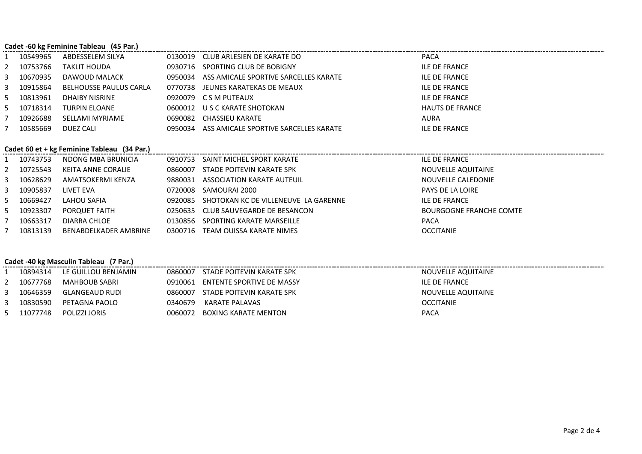## **Cadet -60 kg Feminine Tableau (45 Par.)**

|   | 10549965   | ABDESSELEM SILYA       | 0130019 | CLUB ARLESIEN DE KARATE DO                    | <b>PACA</b>            |
|---|------------|------------------------|---------|-----------------------------------------------|------------------------|
|   | 2 10753766 | TAKLIT HOUDA           |         | 0930716 SPORTING CLUB DE BOBIGNY              | <b>ILE DE FRANCE</b>   |
|   | 3 10670935 | DAWOUD MALACK          |         | 0950034 ASS AMICALE SPORTIVE SARCELLES KARATE | <b>ILE DE FRANCE</b>   |
|   | 3 10915864 | BELHOUSSE PAULUS CARLA |         | 0770738 JEUNES KARATEKAS DE MEAUX             | <b>ILE DE FRANCE</b>   |
| 5 | 10813961   | DHAIBY NISRINE         |         | 0920079 C S M PUTEAUX                         | <b>ILE DE FRANCE</b>   |
|   | 5 10718314 | <b>TURPIN ELOANE</b>   |         | 0600012 U S C KARATE SHOTOKAN                 | <b>HAUTS DE FRANCE</b> |
|   | 10926688   | SELLAMI MYRIAME        |         | 0690082 CHASSIEU KARATE                       | <b>AURA</b>            |
|   | 10585669   | DUEZ CALI              |         | 0950034 ASS AMICALE SPORTIVE SARCELLES KARATE | <b>ILE DE FRANCE</b>   |

## **Cadet 60 et + kg Feminine Tableau (34 Par.)**

| 10743753 | NDONG MBA BRUNICIA    | 0910753 | SAINT MICHEL SPORT KARATE            | ILE DE FRANCE           |
|----------|-----------------------|---------|--------------------------------------|-------------------------|
| 10725543 | KEITA ANNE CORALIE    | 0860007 | STADE POITEVIN KARATE SPK            | NOUVELLE AQUITAINE      |
| 10628629 | AMATSOKERMI KENZA     | 9880031 | ASSOCIATION KARATE AUTEUIL           | NOUVELLE CALEDONIE      |
| 10905837 | LIVET EVA             | 0720008 | SAMOURAI 2000                        | <b>PAYS DE LA LOIRE</b> |
| 10669427 | LAHOU SAFIA           | 0920085 | SHOTOKAN KC DE VILLENEUVE LA GARENNE | ILE DE FRANCE           |
| 10923307 | PORQUET FAITH         |         | 0250635 CLUB SAUVEGARDE DE BESANCON  | BOURGOGNE FRANCHE COMTE |
| 10663317 | DIARRA CHLOE          | 0130856 | SPORTING KARATE MARSEILLE            | <b>PACA</b>             |
| 10813139 | BENABDELKADER AMBRINE | 0300716 | TEAM OUISSA KARATE NIMES             | <b>OCCITANIE</b>        |

## **Cadet -40 kg Masculin Tableau (7 Par.)**

| 10894314 | LE GUILLOU BENJAMIN |         | 0860007 STADE POITEVIN KARATE SPK | NOUVELLE AQUITAINE |
|----------|---------------------|---------|-----------------------------------|--------------------|
| 10677768 | MAHBOUB SABRI       | 0910061 | ENTENTE SPORTIVE DE MASSY         | ILE DE FRANCE      |
| 10646359 | GLANGEAUD RUDI      |         | 0860007 STADE POITEVIN KARATE SPK | NOUVELLE AQUITAINE |
| 10830590 | PETAGNA PAOLO       | 0340679 | KARATE PALAVAS                    | <b>OCCITANIE</b>   |
| 11077748 | POLIZZI JORIS       | 0060072 | BOXING KARATE MENTON              | PACA               |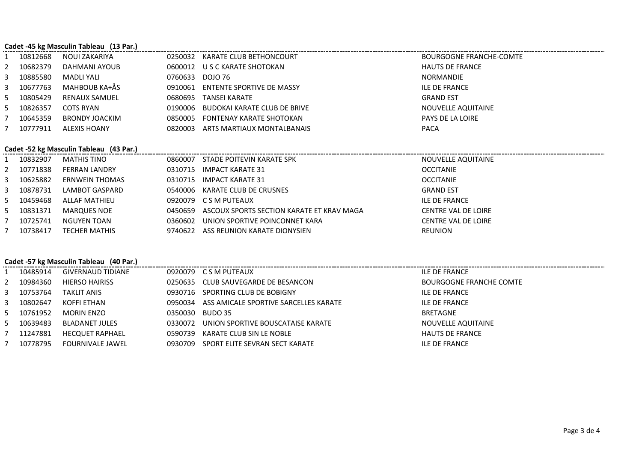|    | Cadet -45 kg Masculin Tableau (13 Par.) |                                         |         |                                           |                                |  |  |  |
|----|-----------------------------------------|-----------------------------------------|---------|-------------------------------------------|--------------------------------|--|--|--|
|    | 10812668                                | NOUI ZAKARIYA                           | 0250032 | KARATE CLUB BETHONCOURT                   | <b>BOURGOGNE FRANCHE-COMTE</b> |  |  |  |
|    | 10682379                                | DAHMANI AYOUB                           | 0600012 | U S C KARATE SHOTOKAN                     | <b>HAUTS DE FRANCE</b>         |  |  |  |
| 3  | 10885580                                | <b>MADLI YALI</b>                       | 0760633 | DOJO 76                                   | <b>NORMANDIE</b>               |  |  |  |
| 3  | 10677763                                | MAHBOUB KA+ÅS                           | 0910061 | ENTENTE SPORTIVE DE MASSY                 | <b>ILE DE FRANCE</b>           |  |  |  |
| 5. | 10805429                                | <b>RENAUX SAMUEL</b>                    | 0680695 | TANSEI KARATE                             | <b>GRAND EST</b>               |  |  |  |
| 5. | 10826357                                | <b>COTS RYAN</b>                        | 0190006 | <b>BUDOKAI KARATE CLUB DE BRIVE</b>       | NOUVELLE AQUITAINE             |  |  |  |
|    | 10645359                                | <b>BRONDY JOACKIM</b>                   | 0850005 | <b>FONTENAY KARATE SHOTOKAN</b>           | PAYS DE LA LOIRE               |  |  |  |
|    | 10777911                                | <b>ALEXIS HOANY</b>                     | 0820003 | ARTS MARTIAUX MONTALBANAIS                | <b>PACA</b>                    |  |  |  |
|    |                                         |                                         |         |                                           |                                |  |  |  |
|    |                                         | Cadet -52 kg Masculin Tableau (43 Par.) |         |                                           |                                |  |  |  |
|    | 10832907                                | <b>MATHIS TINO</b>                      | 0860007 | STADE POITEVIN KARATE SPK                 | NOUVELLE AQUITAINE             |  |  |  |
|    | 10771838                                | <b>FERRAN LANDRY</b>                    | 0310715 | <b>IMPACT KARATE 31</b>                   | <b>OCCITANIE</b>               |  |  |  |
| 3  | 10625882                                | ERNWEIN THOMAS                          | 0310715 | <b>IMPACT KARATE 31</b>                   | <b>OCCITANIE</b>               |  |  |  |
| 3  | 10878731                                | LAMBOT GASPARD                          | 0540006 | KARATE CLUB DE CRUSNES                    | <b>GRAND EST</b>               |  |  |  |
| 5. | 10459468                                | <b>ALLAF MATHIEU</b>                    | 0920079 | C S M PUTEAUX                             | <b>ILE DE FRANCE</b>           |  |  |  |
| 5. | 10831371                                | <b>MARQUES NOE</b>                      | 0450659 | ASCOUX SPORTS SECTION KARATE ET KRAV MAGA | <b>CENTRE VAL DE LOIRE</b>     |  |  |  |
|    | 10725741                                | <b>NGUYEN TOAN</b>                      | 0360602 | UNION SPORTIVE POINCONNET KARA            | <b>CENTRE VAL DE LOIRE</b>     |  |  |  |
|    | 10738417                                | <b>TECHER MATHIS</b>                    | 9740622 | ASS REUNION KARATE DIONYSIEN              | <b>REUNION</b>                 |  |  |  |

## **Cadet -57 kg Masculin Tableau (40 Par.)**

|    | 10485914 | GIVERNAUD TIDIANE       |         | 0920079 C S M PUTEAUX                         | ILE DE FRANCE                  |
|----|----------|-------------------------|---------|-----------------------------------------------|--------------------------------|
|    | 10984360 | <b>HIERSO HAIRISS</b>   |         | 0250635 CLUB SAUVEGARDE DE BESANCON           | <b>BOURGOGNE FRANCHE COMTE</b> |
| 3  | 10753764 | <b>TAKLIT ANIS</b>      |         | 0930716 SPORTING CLUB DE BOBIGNY              | ILE DE FRANCE                  |
| -3 | 10802647 | KOFFI ETHAN             |         | 0950034 ASS AMICALE SPORTIVE SARCELLES KARATE | ILE DE FRANCE                  |
| 5  | 10761952 | MORIN ENZO              | 0350030 | BUDO 35                                       | BRETAGNE                       |
|    | 10639483 | <b>BLADANET JULES</b>   | 0330072 | UNION SPORTIVE BOUSCATAISE KARATE             | NOUVELLE AQUITAINE             |
|    | 11247881 | <b>HECQUET RAPHAEL</b>  |         | 0590739 KARATE CLUB SIN LE NOBLE              | <b>HAUTS DE FRANCE</b>         |
|    | 10778795 | <b>FOURNIVALE JAWEL</b> | 0930709 | SPORT ELITE SEVRAN SECT KARATE                | ILE DE FRANCE                  |
|    |          |                         |         |                                               |                                |